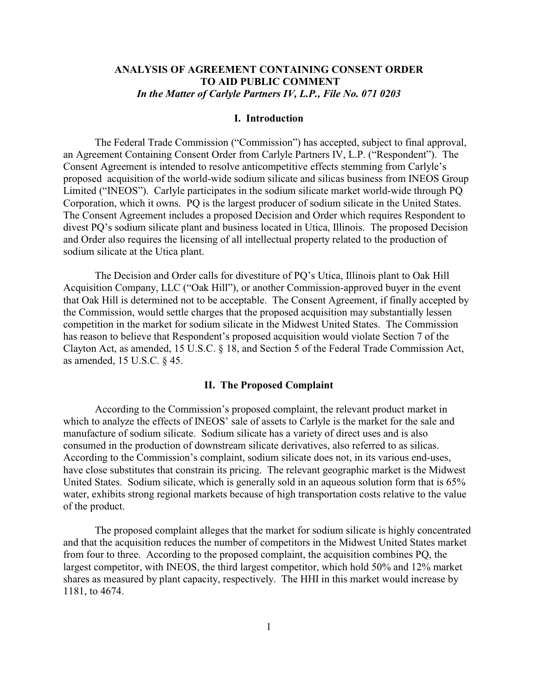# **ANALYSIS OF AGREEMENT CONTAINING CONSENT ORDER TO AID PUBLIC COMMENT** *In the Matter of Carlyle Partners IV, L.P., File No. 071 0203*

### **I. Introduction**

The Federal Trade Commission ("Commission") has accepted, subject to final approval, an Agreement Containing Consent Order from Carlyle Partners IV, L.P. ("Respondent"). The Consent Agreement is intended to resolve anticompetitive effects stemming from Carlyle's proposed acquisition of the world-wide sodium silicate and silicas business from INEOS Group Limited ("INEOS"). Carlyle participates in the sodium silicate market world-wide through PQ Corporation, which it owns. PQ is the largest producer of sodium silicate in the United States. The Consent Agreement includes a proposed Decision and Order which requires Respondent to divest PQ's sodium silicate plant and business located in Utica, Illinois. The proposed Decision and Order also requires the licensing of all intellectual property related to the production of sodium silicate at the Utica plant.

The Decision and Order calls for divestiture of PQ's Utica, Illinois plant to Oak Hill Acquisition Company, LLC ("Oak Hill"), or another Commission-approved buyer in the event that Oak Hill is determined not to be acceptable. The Consent Agreement, if finally accepted by the Commission, would settle charges that the proposed acquisition may substantially lessen competition in the market for sodium silicate in the Midwest United States. The Commission has reason to believe that Respondent's proposed acquisition would violate Section 7 of the Clayton Act, as amended, 15 U.S.C. § 18, and Section 5 of the Federal Trade Commission Act, as amended, 15 U.S.C. § 45.

### **II. The Proposed Complaint**

According to the Commission's proposed complaint, the relevant product market in which to analyze the effects of INEOS' sale of assets to Carlyle is the market for the sale and manufacture of sodium silicate. Sodium silicate has a variety of direct uses and is also consumed in the production of downstream silicate derivatives, also referred to as silicas. According to the Commission's complaint, sodium silicate does not, in its various end-uses, have close substitutes that constrain its pricing. The relevant geographic market is the Midwest United States. Sodium silicate, which is generally sold in an aqueous solution form that is 65% water, exhibits strong regional markets because of high transportation costs relative to the value of the product.

The proposed complaint alleges that the market for sodium silicate is highly concentrated and that the acquisition reduces the number of competitors in the Midwest United States market from four to three. According to the proposed complaint, the acquisition combines PQ, the largest competitor, with INEOS, the third largest competitor, which hold 50% and 12% market shares as measured by plant capacity, respectively. The HHI in this market would increase by 1181, to 4674.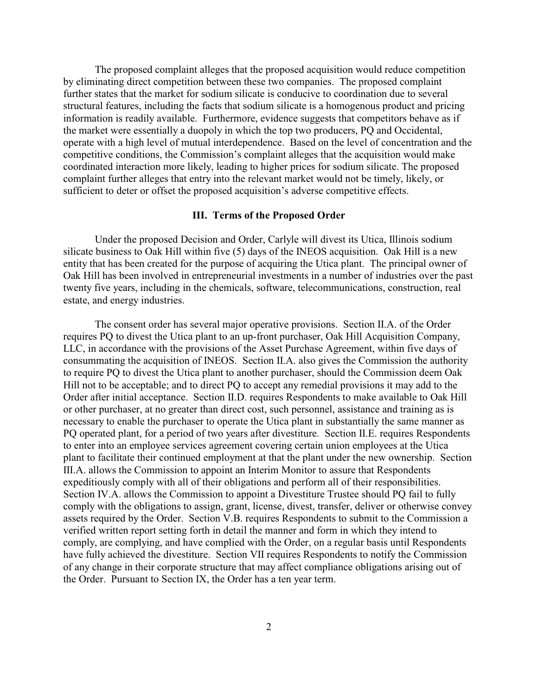The proposed complaint alleges that the proposed acquisition would reduce competition by eliminating direct competition between these two companies. The proposed complaint further states that the market for sodium silicate is conducive to coordination due to several structural features, including the facts that sodium silicate is a homogenous product and pricing information is readily available. Furthermore, evidence suggests that competitors behave as if the market were essentially a duopoly in which the top two producers, PQ and Occidental, operate with a high level of mutual interdependence. Based on the level of concentration and the competitive conditions, the Commission's complaint alleges that the acquisition would make coordinated interaction more likely, leading to higher prices for sodium silicate. The proposed complaint further alleges that entry into the relevant market would not be timely, likely, or sufficient to deter or offset the proposed acquisition's adverse competitive effects.

### **III. Terms of the Proposed Order**

Under the proposed Decision and Order, Carlyle will divest its Utica, Illinois sodium silicate business to Oak Hill within five (5) days of the INEOS acquisition. Oak Hill is a new entity that has been created for the purpose of acquiring the Utica plant. The principal owner of Oak Hill has been involved in entrepreneurial investments in a number of industries over the past twenty five years, including in the chemicals, software, telecommunications, construction, real estate, and energy industries.

The consent order has several major operative provisions. Section II.A. of the Order requires PQ to divest the Utica plant to an up-front purchaser, Oak Hill Acquisition Company, LLC, in accordance with the provisions of the Asset Purchase Agreement, within five days of consummating the acquisition of INEOS. Section II.A. also gives the Commission the authority to require PQ to divest the Utica plant to another purchaser, should the Commission deem Oak Hill not to be acceptable; and to direct PQ to accept any remedial provisions it may add to the Order after initial acceptance. Section II.D. requires Respondents to make available to Oak Hill or other purchaser, at no greater than direct cost, such personnel, assistance and training as is necessary to enable the purchaser to operate the Utica plant in substantially the same manner as PQ operated plant, for a period of two years after divestiture. Section II.E. requires Respondents to enter into an employee services agreement covering certain union employees at the Utica plant to facilitate their continued employment at that the plant under the new ownership. Section III.A. allows the Commission to appoint an Interim Monitor to assure that Respondents expeditiously comply with all of their obligations and perform all of their responsibilities. Section IV.A. allows the Commission to appoint a Divestiture Trustee should PQ fail to fully comply with the obligations to assign, grant, license, divest, transfer, deliver or otherwise convey assets required by the Order. Section V.B. requires Respondents to submit to the Commission a verified written report setting forth in detail the manner and form in which they intend to comply, are complying, and have complied with the Order, on a regular basis until Respondents have fully achieved the divestiture. Section VII requires Respondents to notify the Commission of any change in their corporate structure that may affect compliance obligations arising out of the Order. Pursuant to Section IX, the Order has a ten year term.